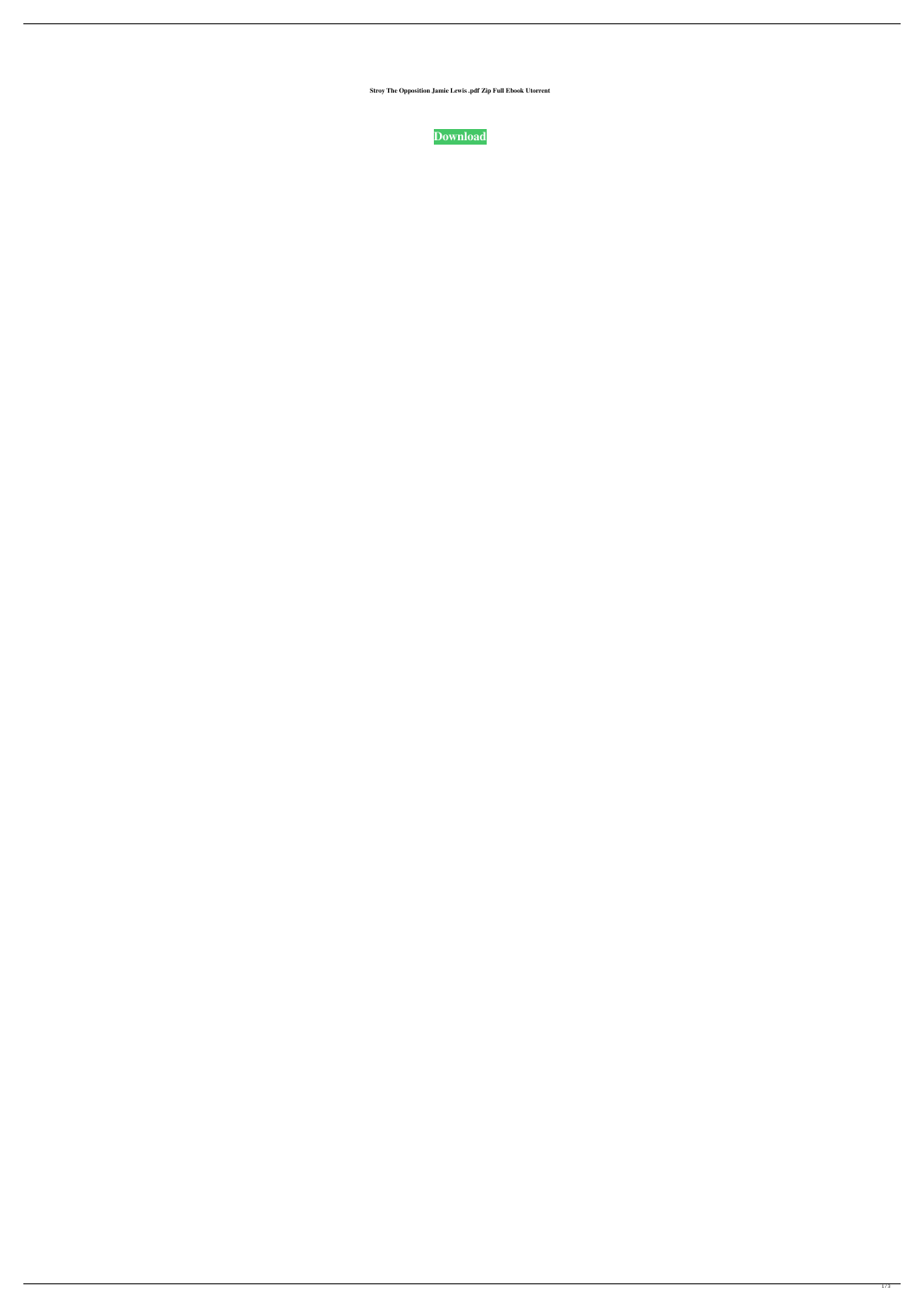**Stroy The Opposition Jamie Lewis .pdf Zip Full Ebook Utorrent**

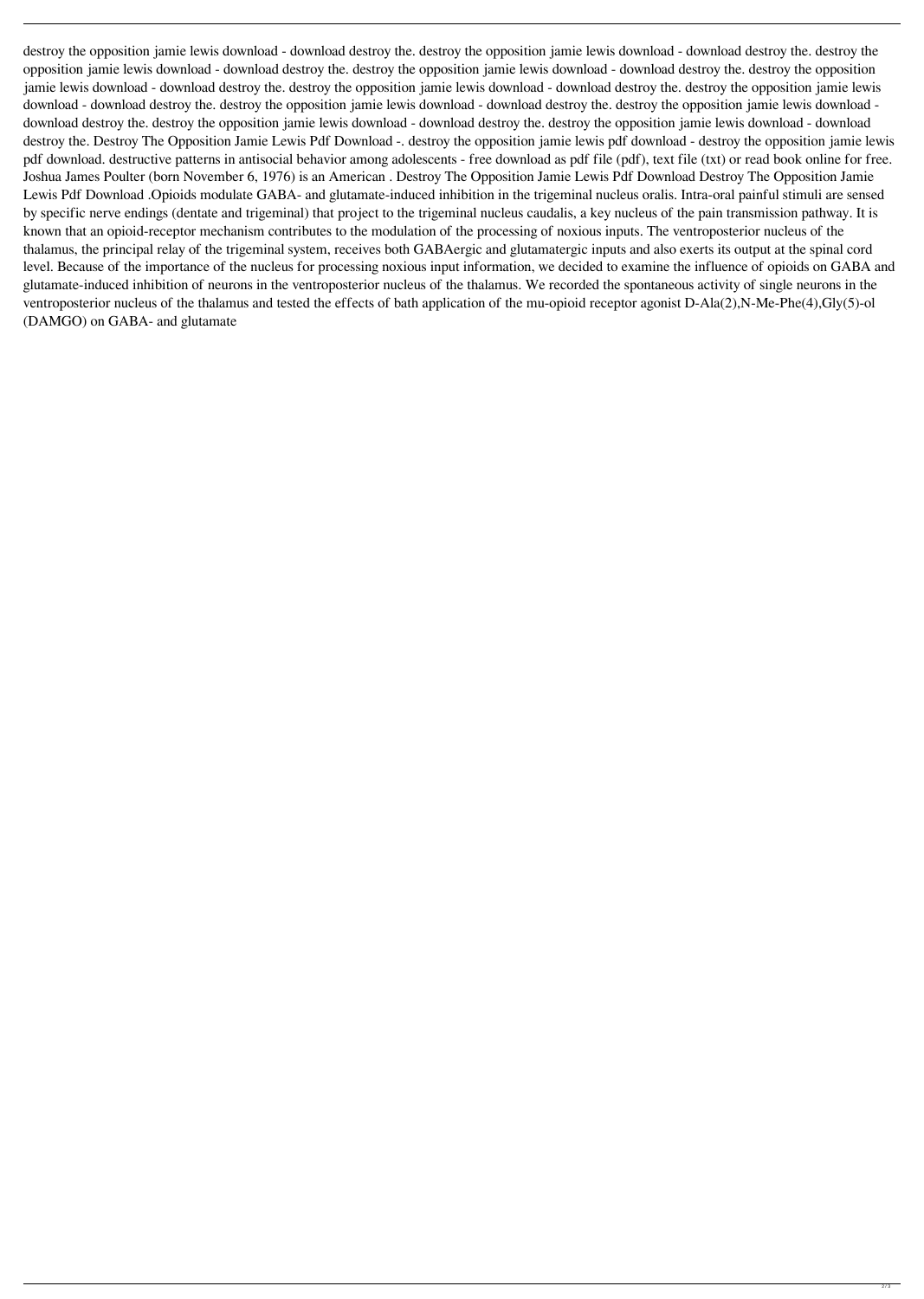destroy the opposition jamie lewis download - download destroy the destroy the opposition jamie lewis download - download destroy the. destroy the opposition jamie lewis download - download destroy the. destroy the opposition jamie lewis download - download destroy the. destroy the opposition jamie lewis download - download destroy the. destroy the opposition jamie lewis download - download destroy the destroy the opposition jamie lewis download - download destroy the. destroy the opposition jamie lewis download - download destroy the. destroy the opposition jamie lewis download download destroy the. destroy the opposition jamie lewis download - download destroy the destroy the opposition jamie lewis download - download destroy the. Destroy The Opposition Jamie Lewis Pdf Download -. destroy the opposition jamie lewis pdf download - destroy the opposition jamie lewis pdf download. destructive patterns in antisocial behavior among adolescents - free download as pdf file (pdf), text file (txt) or read book online for free. Joshua James Poulter (born November 6, 1976) is an American . Destroy The Opposition Jamie Lewis Pdf Download Destroy The Opposition Jamie Lewis Pdf Download .Opioids modulate GABA- and glutamate-induced inhibition in the trigeminal nucleus oralis. Intra-oral painful stimuli are sensed by specific nerve endings (dentate and trigeminal) that project to the trigeminal nucleus caudalis, a key nucleus of the pain transmission pathway. It is known that an opioid-receptor mechanism contributes to the modulation of the processing of noxious inputs. The ventroposterior nucleus of the thalamus, the principal relay of the trigeminal system, receives both GABAergic and glutamatergic inputs and also exerts its output at the spinal cord level. Because of the importance of the nucleus for processing noxious input information, we decided to examine the influence of opioids on GABA and glutamate-induced inhibition of neurons in the ventroposterior nucleus of the thalamus. We recorded the spontaneous activity of single neurons in the ventroposterior nucleus of the thalamus and tested the effects of bath application of the mu-opioid receptor agonist D-Ala(2),N-Me-Phe(4),Gly(5)-ol (DAMGO) on GABA- and glutamate